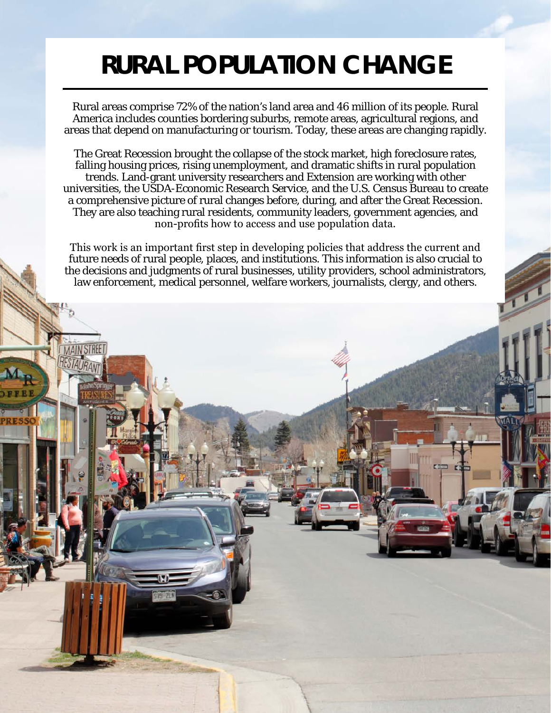## **RURAL POPULATION CHANGE**

Rural areas comprise 72% of the nation's land area and 46 million of its people. Rural America includes counties bordering suburbs, remote areas, agricultural regions, and areas that depend on manufacturing or tourism. Today, these areas are changing rapidly.

The Great Recession brought the collapse of the stock market, high foreclosure rates, falling housing prices, rising unemployment, and dramatic shifts in rural population trends. Land-grant university researchers and Extension are working with other universities, the USDA-Economic Research Service, and the U.S. Census Bureau to create a comprehensive picture of rural changes before, during, and after the Great Recession. They are also teaching rural residents, community leaders, government agencies, and non-profits how to access and use population data.

This work is an important first step in developing policies that address the current and future needs of rural people, places, and institutions. This information is also crucial to the decisions and judgments of rural businesses, utility providers, school administrators, law enforcement, medical personnel, welfare workers, journalists, clergy, and others.